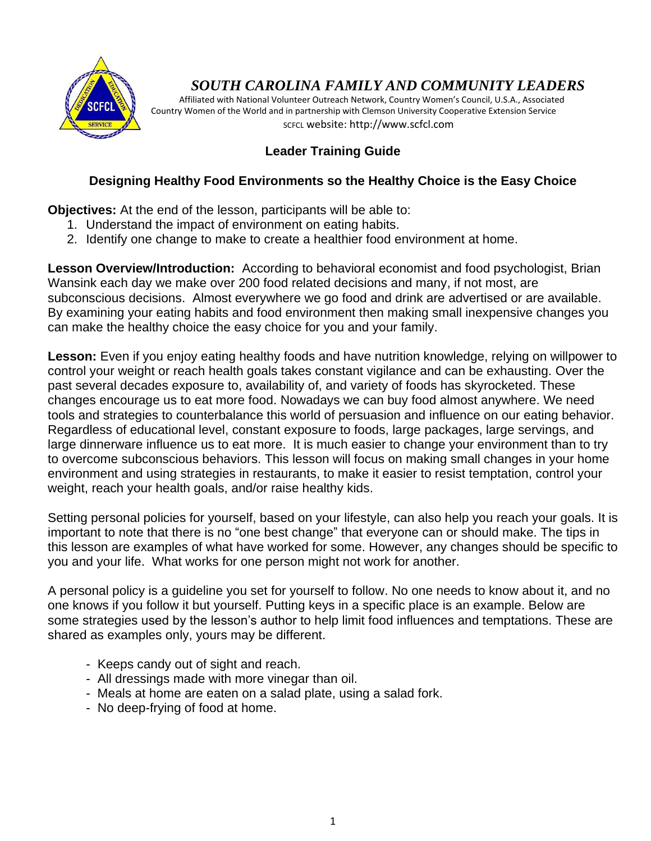

# *SOUTH CAROLINA FAMILY AND COMMUNITY LEADERS*

 Affiliated with National Volunteer Outreach Network, Country Women's Council, U.S.A., Associated Country Women of the World and in partnership with Clemson University Cooperative Extension Service SCFCL website: http://www.scfcl.com

# **Leader Training Guide**

## **Designing Healthy Food Environments so the Healthy Choice is the Easy Choice**

**Objectives:** At the end of the lesson, participants will be able to:

- 1. Understand the impact of environment on eating habits.
- 2. Identify one change to make to create a healthier food environment at home.

**Lesson Overview/Introduction:** According to behavioral economist and food psychologist, Brian Wansink each day we make over 200 food related decisions and many, if not most, are subconscious decisions. Almost everywhere we go food and drink are advertised or are available. By examining your eating habits and food environment then making small inexpensive changes you can make the healthy choice the easy choice for you and your family.

**Lesson:** Even if you enjoy eating healthy foods and have nutrition knowledge, relying on willpower to control your weight or reach health goals takes constant vigilance and can be exhausting. Over the past several decades exposure to, availability of, and variety of foods has skyrocketed. These changes encourage us to eat more food. Nowadays we can buy food almost anywhere. We need tools and strategies to counterbalance this world of persuasion and influence on our eating behavior. Regardless of educational level, constant exposure to foods, large packages, large servings, and large dinnerware influence us to eat more. It is much easier to change your environment than to try to overcome subconscious behaviors. This lesson will focus on making small changes in your home environment and using strategies in restaurants, to make it easier to resist temptation, control your weight, reach your health goals, and/or raise healthy kids.

Setting personal policies for yourself, based on your lifestyle, can also help you reach your goals. It is important to note that there is no "one best change" that everyone can or should make. The tips in this lesson are examples of what have worked for some. However, any changes should be specific to you and your life. What works for one person might not work for another.

A personal policy is a guideline you set for yourself to follow. No one needs to know about it, and no one knows if you follow it but yourself. Putting keys in a specific place is an example. Below are some strategies used by the lesson's author to help limit food influences and temptations. These are shared as examples only, yours may be different.

- Keeps candy out of sight and reach.
- All dressings made with more vinegar than oil.
- Meals at home are eaten on a salad plate, using a salad fork.
- No deep-frying of food at home.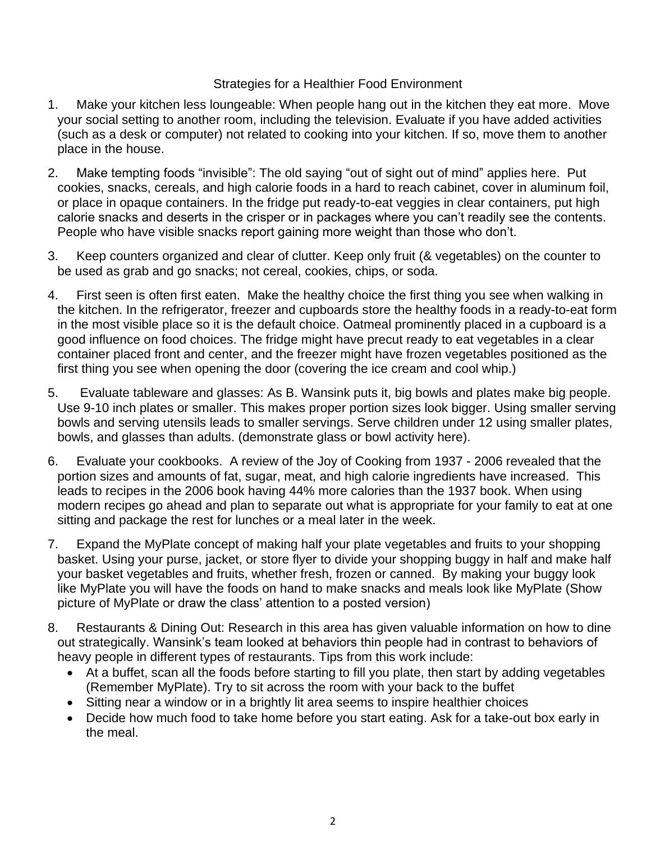## Strategies for a Healthier Food Environment

- 1. Make your kitchen less loungeable: When people hang out in the kitchen they eat more. Move your social setting to another room, including the television. Evaluate if you have added activities (such as a desk or computer) not related to cooking into your kitchen. If so, move them to another place in the house.
- 2. Make tempting foods "invisible": The old saying "out of sight out of mind" applies here. Put cookies, snacks, cereals, and high calorie foods in a hard to reach cabinet, cover in aluminum foil, or place in opaque containers. In the fridge put ready-to-eat veggies in clear containers, put high calorie snacks and deserts in the crisper or in packages where you can't readily see the contents. People who have visible snacks report gaining more weight than those who don't.
- 3. Keep counters organized and clear of clutter. Keep only fruit (& vegetables) on the counter to be used as grab and go snacks; not cereal, cookies, chips, or soda.
- 4. First seen is often first eaten. Make the healthy choice the first thing you see when walking in the kitchen. In the refrigerator, freezer and cupboards store the healthy foods in a ready-to-eat form in the most visible place so it is the default choice. Oatmeal prominently placed in a cupboard is a good influence on food choices. The fridge might have precut ready to eat vegetables in a clear container placed front and center, and the freezer might have frozen vegetables positioned as the first thing you see when opening the door (covering the ice cream and cool whip.)
- 5. Evaluate tableware and glasses: As B. Wansink puts it, big bowls and plates make big people. Use 9-10 inch plates or smaller. This makes proper portion sizes look bigger. Using smaller serving bowls and serving utensils leads to smaller servings. Serve children under 12 using smaller plates, bowls, and glasses than adults. (demonstrate glass or bowl activity here).
- 6. Evaluate your cookbooks. A review of the Joy of Cooking from 1937 2006 revealed that the portion sizes and amounts of fat, sugar, meat, and high calorie ingredients have increased. This leads to recipes in the 2006 book having 44% more calories than the 1937 book. When using modern recipes go ahead and plan to separate out what is appropriate for your family to eat at one sitting and package the rest for lunches or a meal later in the week.
- 7. Expand the MyPlate concept of making half your plate vegetables and fruits to your shopping basket. Using your purse, jacket, or store flyer to divide your shopping buggy in half and make half your basket vegetables and fruits, whether fresh, frozen or canned. By making your buggy look like MyPlate you will have the foods on hand to make snacks and meals look like MyPlate (Show picture of MyPlate or draw the class' attention to a posted version)
- 8. Restaurants & Dining Out: Research in this area has given valuable information on how to dine out strategically. Wansink's team looked at behaviors thin people had in contrast to behaviors of heavy people in different types of restaurants. Tips from this work include:
	- At a buffet, scan all the foods before starting to fill you plate, then start by adding vegetables (Remember MyPlate). Try to sit across the room with your back to the buffet
	- Sitting near a window or in a brightly lit area seems to inspire healthier choices
	- Decide how much food to take home before you start eating. Ask for a take-out box early in the meal.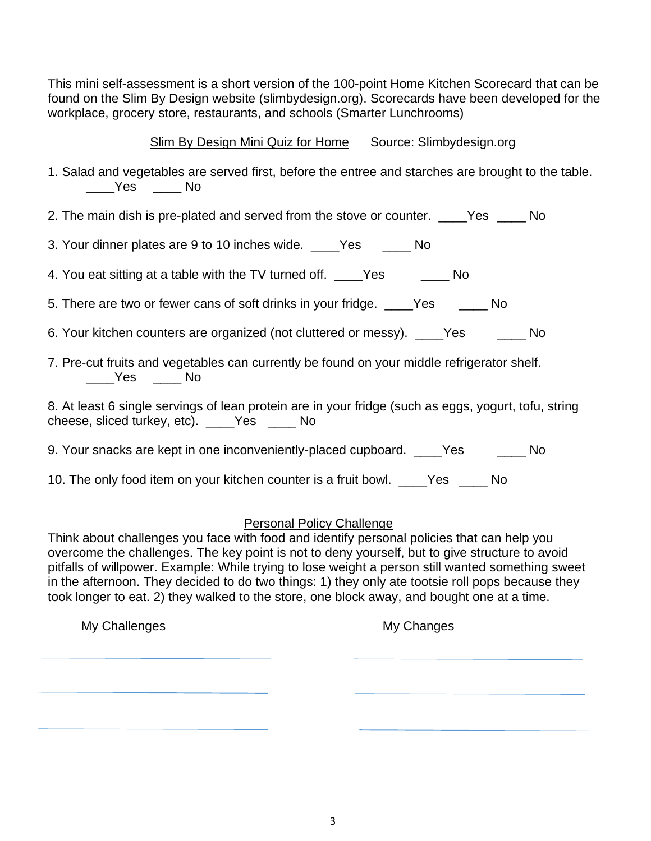This mini self-assessment is a short version of the 100-point Home Kitchen Scorecard that can be found on the Slim By Design website (slimbydesign.org). Scorecards have been developed for the workplace, grocery store, restaurants, and schools (Smarter Lunchrooms)

Slim By Design Mini Quiz for Home Source: Slimbydesign.org

| 1. Salad and vegetables are served first, before the entree and starches are brought to the table. |      |  |  |  |
|----------------------------------------------------------------------------------------------------|------|--|--|--|
|                                                                                                    | i No |  |  |  |

| 2. The main dish is pre-plated and served from the stove or counter. |  |  | Yes | <b>No</b> |
|----------------------------------------------------------------------|--|--|-----|-----------|
|                                                                      |  |  |     |           |

|  |  |  |  |  | 3. Your dinner plates are 9 to 10 inches wide. | Yes | No |
|--|--|--|--|--|------------------------------------------------|-----|----|
|--|--|--|--|--|------------------------------------------------|-----|----|

| 4. You eat sitting at a table with the TV turned off. | No<br>Yes. |
|-------------------------------------------------------|------------|
|-------------------------------------------------------|------------|

5. There are two or fewer cans of soft drinks in your fridge. Yes No

- 6. Your kitchen counters are organized (not cluttered or messy). \_\_\_\_Yes \_\_\_\_\_\_ No
- 7. Pre-cut fruits and vegetables can currently be found on your middle refrigerator shelf. \_\_\_\_Yes \_\_\_\_ No

8. At least 6 single servings of lean protein are in your fridge (such as eggs, yogurt, tofu, string cheese, sliced turkey, etc). \_\_\_\_Yes \_\_\_\_ No

9. Your snacks are kept in one inconveniently-placed cupboard. The Yes The No

10. The only food item on your kitchen counter is a fruit bowl. \_\_\_\_Yes \_\_\_\_ No

## Personal Policy Challenge

Think about challenges you face with food and identify personal policies that can help you overcome the challenges. The key point is not to deny yourself, but to give structure to avoid pitfalls of willpower. Example: While trying to lose weight a person still wanted something sweet in the afternoon. They decided to do two things: 1) they only ate tootsie roll pops because they took longer to eat. 2) they walked to the store, one block away, and bought one at a time.

| My Challenges | My Changes |
|---------------|------------|
|               |            |
|               |            |
|               |            |